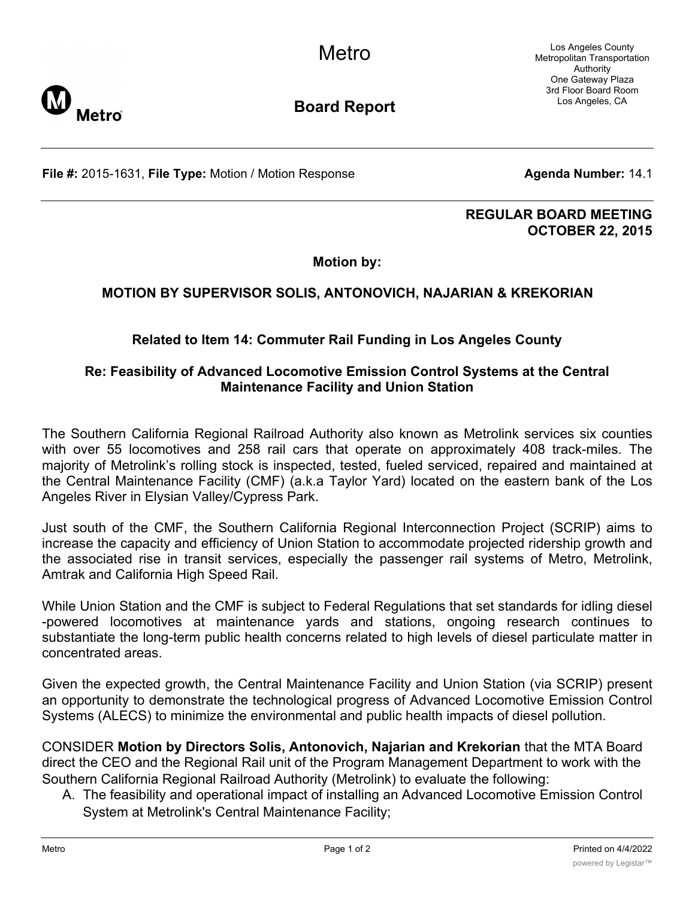Los Angeles County Metropolitan Transportation Authority One Gateway Plaza 3rd Floor Board Room Los Angeles, CA



**Board Report**

**File #:** 2015-1631, File Type: Motion / Motion Response **Agenda Number:** 14.1

## **REGULAR BOARD MEETING OCTOBER 22, 2015**

**Motion by:**

## **MOTION BY SUPERVISOR SOLIS, ANTONOVICH, NAJARIAN & KREKORIAN**

## **Related to Item 14: Commuter Rail Funding in Los Angeles County**

## **Re: Feasibility of Advanced Locomotive Emission Control Systems at the Central Maintenance Facility and Union Station**

The Southern California Regional Railroad Authority also known as Metrolink services six counties with over 55 locomotives and 258 rail cars that operate on approximately 408 track-miles. The majority of Metrolink's rolling stock is inspected, tested, fueled serviced, repaired and maintained at the Central Maintenance Facility (CMF) (a.k.a Taylor Yard) located on the eastern bank of the Los Angeles River in Elysian Valley/Cypress Park.

Just south of the CMF, the Southern California Regional Interconnection Project (SCRIP) aims to increase the capacity and efficiency of Union Station to accommodate projected ridership growth and the associated rise in transit services, especially the passenger rail systems of Metro, Metrolink, Amtrak and California High Speed Rail.

While Union Station and the CMF is subject to Federal Regulations that set standards for idling diesel -powered locomotives at maintenance yards and stations, ongoing research continues to substantiate the long-term public health concerns related to high levels of diesel particulate matter in concentrated areas.

Given the expected growth, the Central Maintenance Facility and Union Station (via SCRIP) present an opportunity to demonstrate the technological progress of Advanced Locomotive Emission Control Systems (ALECS) to minimize the environmental and public health impacts of diesel pollution.

CONSIDER **Motion by Directors Solis, Antonovich, Najarian and Krekorian** that the MTA Board direct the CEO and the Regional Rail unit of the Program Management Department to work with the Southern California Regional Railroad Authority (Metrolink) to evaluate the following:

A. The feasibility and operational impact of installing an Advanced Locomotive Emission Control System at Metrolink's Central Maintenance Facility;